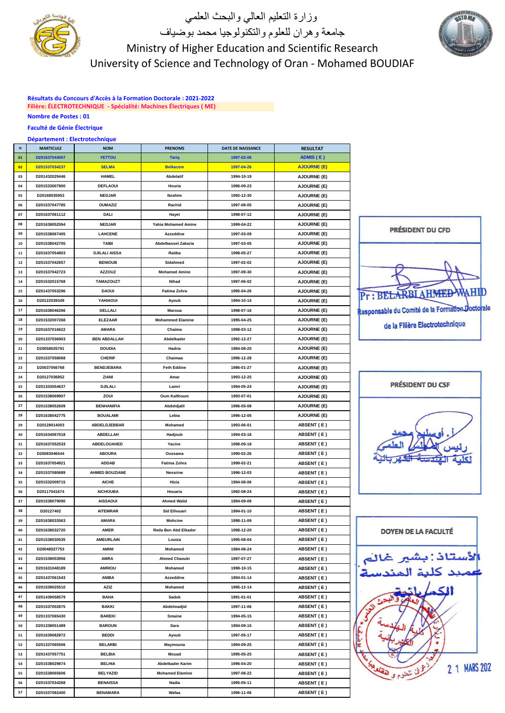

### وزارة التعليم العالي والبحث العلمي جامعة وهران للعلوم والتكنولوجيا محمد بوضياف Ministry of Higher Education and Scientific Research University of Science and Technology of Oran - Mohamed BOUDIAF

**Résultats du Concours d'Accès à la Formation Doctorale : 2021-2022 Filière: ÉLECTROTECHNIQUE - Spécialité: Machines Électriques ( ME) Nombre de Postes : 01**

### **Faculté de Génie Électrique**

#### **Département : Electrotechnique**

| N        | <b>MARTICULE</b>               | <b>NOM</b>               | <b>PRENOMS</b>                  | DATE DE NAISSANCE        | <b>RESULTAT</b>                 |
|----------|--------------------------------|--------------------------|---------------------------------|--------------------------|---------------------------------|
| 01       | D201637044007                  | YETTOU                   | <b>Tariq</b>                    | 1997-02-06               | ADMIS (E)                       |
| 02       | D201537034237                  | <b>SELMA</b>             | <b>Belkacem</b>                 | 1997-04-26               | <b>AJOURNE (E)</b>              |
| 03       | D201432029446                  | <b>HAMEL</b>             | Abdelatif                       | 1994-10-19               | <b>AJOURNE (E)</b>              |
| 04       | D201533007900                  | <b>DEFLAOUI</b>          | Houria                          | 1996-09-23               | <b>AJOURNE (E)</b>              |
| 05       | D20168035953                   | <b>NEDJAR</b>            | Ibrahim                         | 1992-12-30               | <b>AJOURNE (E)</b>              |
| 06       | D201537047785                  | <b>OUMAZIZ</b>           | Rachid                          | 1997-08-05               | <b>AJOURNE (E)</b>              |
| 07       | D201637061112                  | DALI                     | Hayet                           | 1998-07-12               | <b>AJOURNE (E)</b>              |
| 08       | D201638052594                  | <b>NEDJAR</b>            | <b>Yahia Mohamed Amine</b>      | 1999-04-22               | <b>AJOURNE (E)</b>              |
| 09       | D201538067405                  | <b>LAHCENE</b>           | <b>Azzeddine</b>                | 1997-03-09               | <b>AJOURNE (E)</b>              |
| 10       | D201538042705                  | <b>TAIBI</b>             | <b>Abdelbasset Zakaria</b>      | 1997-03-05               | <b>AJOURNE (E)</b>              |
| 11       | D201637054803                  | <b>DJILALI AISSA</b>     | Ratiba                          | 1998-05-27               | AJOURNE (E)                     |
| 12       | D201537042657                  | <b>BENIOUB</b>           | Sidahmed                        | 1997-02-02               | <b>AJOURNE (E)</b>              |
| 13       | D201537042723                  | <b>AZZOUZ</b>            | <b>Mohamed Amine</b>            | 1997-09-30               | <b>AJOURNE (E)</b>              |
| 14       | D201532015768                  | <b>TAMAZOUZT</b>         | Nihad                           | 1997-06-02               | <b>AJOURNE (E)</b>              |
| 15       | D201437053296                  | <b>DAOUI</b>             | Fatima Zohra                    | 1995-04-26               | <b>AJOURNE (E)</b>              |
| 16       | D20122039349                   | YAHIAOUI                 | Ayoub                           | 1994-10-14               | <b>AJOURNE (E)</b>              |
| 17       | D201638046266                  | DELLALI                  | Maroua                          | 1998-07-16               | <b>AJOURNE (E)</b>              |
| 18       | D201532007268                  | <b>ELEZAAR</b>           | <b>Mohammed Elamine</b>         | 1995-04-25               | <b>AJOURNE (E)</b>              |
| 19       | D201637016622                  | AMARA                    | Chaima                          | 1998-03-12               | <b>AJOURNE (E)</b>              |
| 20       | D201337036903                  | <b>BEN ABDALLAH</b>      | Abdelkader                      | 1992-12-27               | <b>AJOURNE (E)</b>              |
| 21       | D20058025791                   | <b>DOUDIA</b>            | Hadria                          | 1984-08-20               | <b>AJOURNE (E)</b>              |
| 22       | D201537058068                  | <b>CHERIF</b>            | Chaimaa                         | 1996-12-28               | <b>AJOURNE (E)</b>              |
| 23       | D20037056768                   | <b>BENDJEBARA</b>        | <b>Feth Eddine</b>              | 1986-01-27               | <b>AJOURNE (E)</b>              |
| 24       | D20127036852                   | ZIANI                    | Amar                            | 1993-12-25               | <b>AJOURNE (E)</b>              |
| 25       | D201333054637                  | DJILALI                  | Lamri                           | 1994-05-24               | <b>AJOURNE (E)</b>              |
| 26       | D201538069907                  | ZOUI                     | <b>Oum Kalthoum</b>             | 1993-07-01               | <b>AJOURNE (E)</b>              |
| 27       | D201538052609                  | <b>BENHANIFIA</b>        | Abdeldjalil                     | 1996-05-08               | <b>AJOURNE (E)</b>              |
| 28       | D201638042775                  | <b>BOUALAMI</b>          | Lebia                           | 1996-12-05               | <b>AJOURNE (E)</b>              |
| 29       | D20128014003                   | ABDELDJEBBAR             | Mohamed                         | 1993-06-01               | <b>ABSENT (E)</b>               |
| 30       | D201634067018                  | ABDELLAH                 |                                 | 1994-03-18               | ABSENT (E)                      |
| 31       | D201637052533                  | ABDELOUAHED              | Hadjoub<br>Yacine               | 1998-09-18               | <b>ABSENT (E)</b>               |
| 32       | D20083046544                   | <b>ABOURA</b>            | Oussama                         | 1990-02-26               | ABSENT (E)                      |
| 33       | D201637054921                  | ADDAB                    | Fatima Zohra                    | 1999-02-21               | <b>ABSENT (E)</b>               |
| 34       | D201537080689                  | <b>AHMED BOUZIANE</b>    | Nessrine                        | 1996-12-03               |                                 |
| 35       | D201532009715                  | <b>AICHE</b>             | Hizia                           | 1994-08-06               | <b>ABSENT (E)</b><br>ABSENT (E) |
| 36       | D20117041674                   | <b>AICHOUBA</b>          | Houaria                         | 1992-08-24               | ABSENT (E)                      |
| 37       | D201538079090                  | <b>AISSAOUI</b>          | <b>Ahmed Walid</b>              | 1994-09-09               | ABSENT (E)                      |
| 38       | D20127402                      | <b>AITEMRAR</b>          | <b>Sid Elhouari</b>             | 1994-01-10               | <b>ABSENT (E)</b>               |
| 39       | D201638033563                  | AMARA                    | <b>Mohcine</b>                  | 1998-11-09               | ABSENT (E)                      |
|          |                                |                          |                                 |                          | ABSENT (E)                      |
| 40<br>41 | D201638032720<br>D201538030535 | AMER<br><b>AMEURLAIN</b> | Reda Ben Abd Elkader<br>Louiza  | 1998-12-20<br>1995-08-04 | ABSENT (E)                      |
| 42       | D20048027753                   |                          |                                 | 1984-08-24               | ABSENT (E)                      |
| 43       | D201539053956                  | AMINI<br>AMRA            | Mohamed<br><b>Ahmed Chaouki</b> | 1997-07-27               | ABSENT (E)                      |
|          |                                |                          |                                 |                          | ABSENT (E)                      |
| 44<br>45 | D201631048189                  | <b>AMRIOU</b>            | Mohamed                         | 1998-10-15<br>1994-01-14 |                                 |
|          | D201437061543                  | <b>ANIBA</b>             | Azzeddine<br>Mohamed            |                          | ABSENT (E)                      |
| 46       | D201539025510                  | AZIZ                     |                                 | 1995-12-14               | <b>ABSENT (E)</b>               |
| 47       | D201439058579                  | <b>BAHA</b>              | Sadok                           | 1991-01-01               | ABSENT (E)                      |
| 48       | D201537002875                  | BAKKI                    | Abdelmadjid                     | 1997-11-06<br>1994-05-15 | ABSENT (E)                      |
| 49       | D201337065430                  | <b>BAREKI</b>            | Smaine                          |                          | ABSENT (E)                      |
| 50       | D201338051489                  | <b>BAROUN</b>            | Sara                            | 1994-09-15               | <b>ABSENT (E)</b>               |
| 51       | D201639082872                  | BEDDI                    | Ayoub                           | 1997-05-17               | ABSENT (E)                      |
| 52       | D201337065506                  | <b>BELARBI</b>           | Maymouna                        | 1994-09-25               | <b>ABSENT (E)</b>               |
| 53       | D201437057751                  | <b>BELBIA</b>            | Mouad                           | 1995-05-25               | ABSENT (E)                      |
| 54       | D201538029874                  | <b>BELHIA</b>            | Abdelkader Karim                | 1996-04-20               | ABSENT (E)                      |
| 55       | D201538065606                  | <b>BELYAZID</b>          | <b>Mohamed Elamine</b>          | 1997-08-22               | ABSENT (E)                      |
| 56       | D201537034268                  | <b>BENAISSA</b>          | Nadia                           | 1995-05-11               | ABSENT (E)                      |
| 57       | D201537082400                  | <b>BENAMARA</b>          | Wafaa                           | 1996-11-06               | <b>ABSENT (E)</b>               |







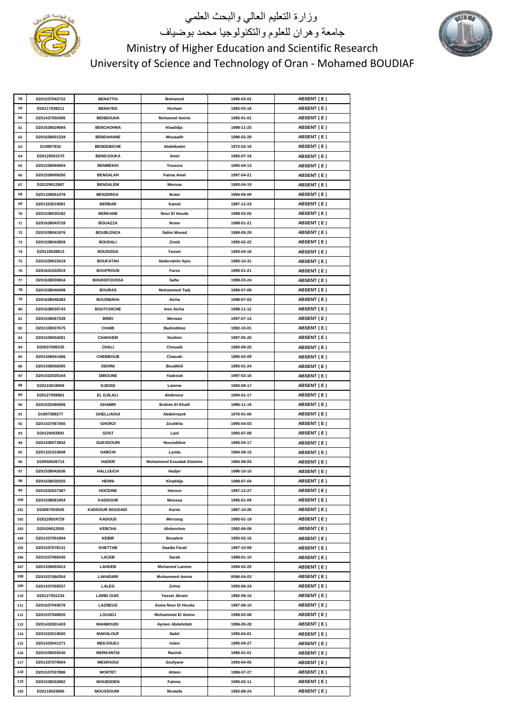

# وزارة التعليم العالي والبحث العلمي جامعة وهران للعلوم والتكنولوجيا محمد بوضياف Ministry of Higher Education and Scientific Research University of Science and Technology of Oran - Mohamed BOUDIAF



| 58  | D201537042722 | <b>BENATTIA</b>        | Mohamed                         | 1996-03-02 | <b>ABSENT (E)</b> |
|-----|---------------|------------------------|---------------------------------|------------|-------------------|
| 59  | D20117039211  | <b>BENAYED</b>         | Hicham                          | 1992-03-16 | ABSENT (E)        |
| 60  | D201437050395 | <b>BENBOUHA</b>        | <b>Mohamed Amine</b>            | 1995-01-01 | <b>ABSENT (E)</b> |
| 61  | D201638029084 | <b>BENCHOHRA</b>       | Khadidja                        | 1998-11-25 | <b>ABSENT (E)</b> |
| 62  | D201638001329 | <b>BENDAHANE</b>       | Mouaadh                         | 1996-02-29 | <b>ABSENT (E)</b> |
| 63  | D19907832     | <b>BENDEBICHE</b>      | Abdelkader                      | 1972-02-16 | <b>ABSENT (E)</b> |
| 64  | D20129001570  | <b>BENDJOUKA</b>       | Amel                            | 1993-07-16 | ABSENT (E)        |
| 65  | D201538065904 | <b>BENMEKKI</b>        | Youssra                         | 1995-04-13 | ABSENT (E)        |
| 66  | D201538009260 | <b>BENSALAH</b>        | <b>Fatma Amel</b>               | 1997-04-21 | <b>ABSENT (E)</b> |
|     |               |                        |                                 |            |                   |
| 67  | D20129012887  | <b>BENSALEM</b>        | Meroua                          | 1993-04-19 | <b>ABSENT (E)</b> |
| 68  | D201338051478 | <b>BENZERGA</b>        | Ikram                           | 1994-05-09 | <b>ABSENT (E)</b> |
| 69  | D201333019591 | <b>BERBAR</b>          | Kamal                           | 1987-12-24 | <b>ABSENT (E)</b> |
| 70  | D201538030182 | <b>BERKANE</b>         | Nour El Houda                   | 1998-03-05 | ABSENT (E)        |
| 71  | D201638043728 | <b>BOUAZZA</b>         | Ikram                           | 1998-01-21 | <b>ABSENT (E)</b> |
| 72  | D201538041976 | <b>BOUBLENZA</b>       | <b>Salim Mouad</b>              | 1998-05-29 | <b>ABSENT (E)</b> |
| 73  | D201538043859 | <b>BOUDALI</b>         | Zineb                           | 1995-02-22 | <b>ABSENT (E)</b> |
| 74  | D20118028813  | <b>BOUDISSA</b>        | Yasser                          | 1993-04-16 | ABSENT (E)        |
| 75  | D201539015419 | <b>BOUFATAH</b>        | <b>Abderrahim llyes</b>         | 1995-10-31 | ABSENT (E)        |
| 76  | D201631032919 | <b>BOUFROUN</b>        | Fares                           | 1995-01-21 | ABSENT (E)        |
| 77  | D201638030834 | <b>BOUKEFOUSSA</b>     | Safia                           | 1998-03-24 | <b>ABSENT (E)</b> |
| 78  | D201538040499 | <b>BOURAS</b>          | <b>Mohammed Tadj</b>            | 1996-07-09 | <b>ABSENT (E)</b> |
| 79  | D201638046383 | <b>BOUSMAHA</b>        | Aicha                           | 1998-07-03 | <b>ABSENT (E)</b> |
| 80  | D201638030743 | <b>BOUTCHICHE</b>      | <b>Ines Aicha</b>               | 1998-11-12 | <b>ABSENT (E)</b> |
| 81  | D201538067339 | <b>BRIKI</b>           | Merwan                          | 1997-07-14 | ABSENT (E)        |
| 82  | D201339037675 | <b>CHAIB</b>           | <b>Badreddine</b>               | 1992-10-01 | ABSENT (E)        |
| 83  | D201539004281 | <b>CHAKKEM</b>         | Ibrahim                         | 1997-05-20 | ABSENT (E)        |
| 84  | D20037008335  | CHALI                  | Chouaib                         | 1983-09-25 |                   |
|     |               |                        |                                 |            | <b>ABSENT (E)</b> |
| 85  | D201439041466 | <b>CHEBBOUB</b>        | Chaouki                         | 1995-02-09 | <b>ABSENT (E)</b> |
| 86  | D201438058365 | <b>DEHINI</b>          | <b>Boudkhil</b>                 | 1995-01-24 | <b>ABSENT (E)</b> |
| 87  | D201532035164 | <b>DIBOUNE</b>         | Yaakoub                         | 1997-02-16 | <b>ABSENT (E)</b> |
| 88  | D20124019859  | <b>DJEDDI</b>          | Lamine                          | 1993-08-17 | <b>ABSENT (E)</b> |
| 89  | D20127059861  | EL DJILALI             | Abdenour                        | 1994-01-17 | ABSENT (E)        |
| 90  | D201532080699 | <b>GHAMRI</b>          | <b>Brahim El Khalil</b>         | 1996-11-19 | <b>ABSENT (E)</b> |
| 91  | D1997389277   | <b>GHELLIAOUI</b>      | Abdelrrazek                     | 1976-01-06 | ABSENT (E)        |
| 92  | D201437067450 | <b>GHORZI</b>          | Zoulikha                        | 1995-04-03 | <b>ABSENT (E)</b> |
| 93  | D20129053691  | GOST                   | Laid                            | 1993-07-08 | <b>ABSENT (E)</b> |
| 94  | D201438073942 | <b>GUESSOURI</b>       | Noureddine                      | 1995-04-17 | <b>ABSENT (E)</b> |
| 95  | D201331015608 | <b>HABCHI</b>          | Lynda                           | 1994-08-15 | <b>ABSENT (E)</b> |
| 96  | D20058026714  | <b>HADER</b>           | <b>Mohammed Essadak Elamine</b> | 1984-08-04 | ABSENT (E)        |
| 97  | D201538042636 | <b>HALLOUCH</b>        | Hadjer                          | 1996-10-10 | ABSENT (E)        |
| 98  | D201638030255 | HENNI                  | Khadidja                        | 1998-07-04 | <b>ABSENT (E)</b> |
| 99  | D201532037387 | <b>HOCEINE</b>         | Haroun                          | 1997-12-27 | ABSENT (E)        |
| 100 | D201538081954 | <b>KADDOUR</b>         | Moussa                          | 1995-01-09 | <b>ABSENT (E)</b> |
| 101 | D20087053545  | <b>KADDOUR BOUDADI</b> | Karim                           | 1987-10-26 | <b>ABSENT (E)</b> |
| 102 | D20128024729  | <b>KADOUS</b>          | Merzoug                         | 1993-01-19 | <b>ABSENT (E)</b> |
| 103 | D20109012555  | <b>KEBCHA</b>          | Abdesslem                       | 1992-06-08 | <b>ABSENT (E)</b> |
| 104 | D201337001904 | KEBIR                  | <b>Boualem</b>                  | 1993-02-15 | <b>ABSENT (E)</b> |
| 105 | D201537078131 | KHETTAB                | Saadia Farah                    | 1997-10-09 | <b>ABSENT (E)</b> |
| 106 | D201537068345 | <b>LACEB</b>           | Sarah                           | 1998-01-10 | <b>ABSENT (E)</b> |
| 107 | D201339003413 | <b>LAHDEB</b>          | <b>Mohamed Lamine</b>           | 1994-02-25 | ABSENT (E)        |
| 108 | D201537066354 | LAKHDARI               | <b>Mohammed Amine</b>           | 0096-04-03 | <b>ABSENT (E)</b> |
| 109 | D201437055537 | LALEG                  | Zohra                           | 1993-06-24 |                   |
|     | D20127051234  | <b>LARBI OUIS</b>      | Yasser Akram                    | 1992-09-10 | <b>ABSENT (E)</b> |
| 110 |               |                        |                                 |            | <b>ABSENT (E)</b> |
| 111 | D201637043078 | <b>LAZREUG</b>         | Asma Nour El Houda              | 1997-08-10 | <b>ABSENT (E)</b> |
| 112 | D201537048920 | <b>LOUADJ</b>          | <b>Mohammed El Amine</b>        | 1998-02-08 | <b>ABSENT (E)</b> |
| 113 | D201432001403 | <b>MAHMOUDI</b>        | Aymen Abdefettah                | 1996-05-28 | <b>ABSENT (E)</b> |
| 114 | D201533018500 | <b>MAKHLOUF</b>        | Nabil                           | 1995-04-01 | <b>ABSENT (E)</b> |
| 115 | D201433041271 | <b>MEDJOUDJ</b>        | Islam                           | 1995-09-27 | <b>ABSENT (E)</b> |
| 116 | D201539025240 | <b>MERKANTIA</b>       | Rachid                          | 1996-01-01 | ABSENT (E)        |
| 117 | D201337070604 | <b>MESRAOUI</b>        | Soufyane                        | 1993-04-05 | <b>ABSENT (E)</b> |
| 118 |               |                        |                                 |            |                   |
|     | D201537037886 | <b>MORTET</b>          | Ahlem                           | 1996-07-27 | <b>ABSENT (E)</b> |
| 119 | D201538032882 | <b>MOUEDDEN</b>        | Fatima                          | 1995-02-11 | <b>ABSENT (E)</b> |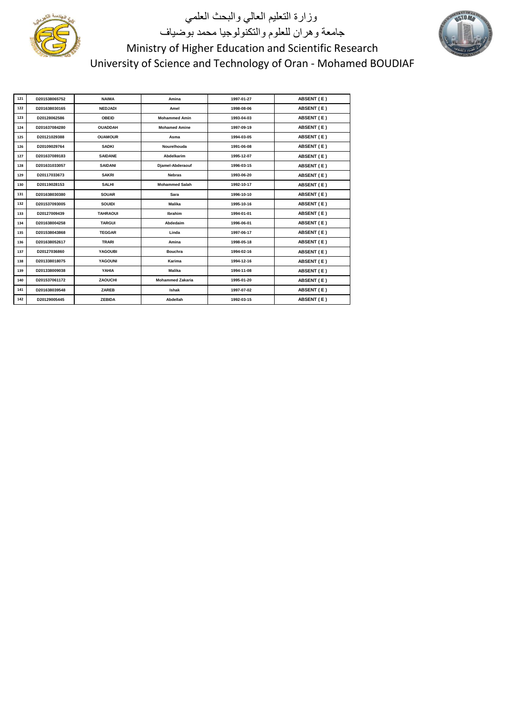

# وزارة التعليم العالي والبحث العلمي جامعة وهران للعلوم والتكنولوجيا محمد بوضياف Ministry of Higher Education and Scientific Research University of Science and Technology of Oran - Mohamed BOUDIAF

| 121 | D201538065752 | <b>NAIMA</b>    | Amina                   | 1997-01-27 | ABSENT (E) |
|-----|---------------|-----------------|-------------------------|------------|------------|
| 122 | D201638030165 | <b>NEDJADI</b>  | Amel                    | 1998-08-06 | ABSENT (E) |
| 123 | D20128062586  | <b>OBEID</b>    | <b>Mohammed Amin</b>    | 1993-04-03 | ABSENT (E) |
| 124 | D201637084280 | <b>OUADDAH</b>  | <b>Mohamed Amine</b>    | 1997-09-19 | ABSENT (E) |
| 125 | D20121029388  | <b>OUAMOUR</b>  | Asma                    | 1994-03-05 | ABSENT (E) |
| 126 | D20109029764  | <b>SADKI</b>    | Nourelhouda             | 1991-06-08 | ABSENT (E) |
| 127 | D201637089183 | <b>SAIDANE</b>  | Abdelkarim              | 1995-12-07 | ABSENT (E) |
| 128 | D201631033057 | <b>SAIDANI</b>  | Djamel-Abderaouf        | 1996-03-15 | ABSENT (E) |
| 129 | D20117033673  | <b>SAKRI</b>    | <b>Nebras</b>           | 1993-06-20 | ABSENT (E) |
| 130 | D20119028153  | <b>SALHI</b>    | <b>Mohammed Salah</b>   | 1992-10-17 | ABSENT (E) |
| 131 | D201638030380 | <b>SOUAR</b>    | Sara                    | 1996-10-10 | ABSENT (E) |
| 132 | D201537093005 | <b>SOUIDI</b>   | Malika                  | 1995-10-16 | ABSENT (E) |
| 133 | D20127009439  | <b>TAHRAOUI</b> | Ibrahim                 | 1994-01-01 | ABSENT (E) |
| 134 | D201638004258 | <b>TARGUI</b>   | Abdedaim                | 1996-06-01 | ABSENT (E) |
| 135 | D201538043868 | <b>TEGGAR</b>   | Linda                   | 1997-06-17 | ABSENT (E) |
| 136 | D201638052617 | <b>TRARI</b>    | Amina                   | 1998-05-18 | ABSENT (E) |
| 137 | D20127036860  | <b>YAGOUBI</b>  | <b>Bouchra</b>          | 1994-02-16 | ABSENT (E) |
| 138 | D201338018075 | <b>YAGOUNI</b>  | Karima                  | 1994-12-16 | ABSENT (E) |
| 139 | D201338009038 | YAHIA           | <b>Malika</b>           | 1994-11-08 | ABSENT (E) |
| 140 | D201537061172 | <b>ZAOUCHI</b>  | <b>Mohammed Zakaria</b> | 1995-01-20 | ABSENT (E) |
| 141 | D201638039548 | ZAREB           | Ishak                   | 1997-07-02 | ABSENT (E) |
| 142 | D20129005445  | <b>ZEBIDA</b>   | Abdellah                | 1992-03-15 | ABSENT (E) |